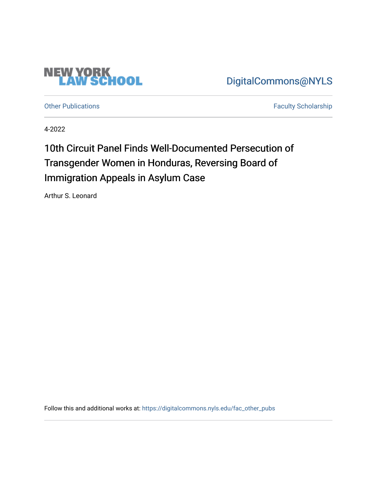

[DigitalCommons@NYLS](https://digitalcommons.nyls.edu/) 

[Other Publications](https://digitalcommons.nyls.edu/fac_other_pubs) **Faculty Scholarship Faculty Scholarship** 

4-2022

## 10th Circuit Panel Finds Well-Documented Persecution of Transgender Women in Honduras, Reversing Board of Immigration Appeals in Asylum Case

Arthur S. Leonard

Follow this and additional works at: [https://digitalcommons.nyls.edu/fac\\_other\\_pubs](https://digitalcommons.nyls.edu/fac_other_pubs?utm_source=digitalcommons.nyls.edu%2Ffac_other_pubs%2F801&utm_medium=PDF&utm_campaign=PDFCoverPages)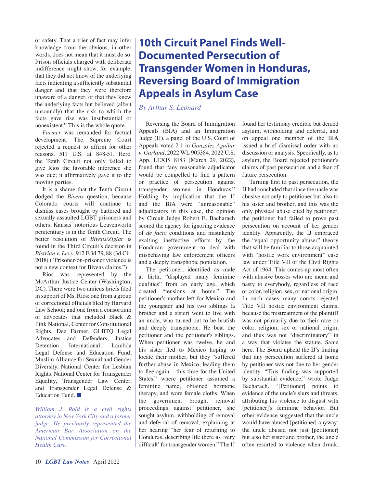or safety. That a trier of fact may infer knowledge from the obvious, in other words, does not mean that it must do so. Prison officials charged with deliberate indifference might show, for example, that they did not know of the underlying facts indicating a sufficiently substantial danger and that they were therefore unaware of a danger, or that they knew the underlying facts but believed (albeit unsoundly) that the risk to which the facts gave rise was insubstantial or nonexistent." This is the whole quote.

*Farmer* was remanded for factual development. The Supreme Court rejected a request to affirm for other reasons. 511 U.S. at 848-51. Here, the Tenth Circuit not only failed to give Rios the favorable inference she was due; it affirmatively gave it to the moving parties.

It is a shame that the Tenth Circuit dodged the *Bivens* question, because Colorado courts will continue to dismiss cases brought by battered and sexually assaulted LGBT prisoners and others. Kansas' notorious Leavenworth penitentiary is in the Tenth Circuit. The better resolution of *Bivens/Ziglar* is found in the Third Circuit's decision in *Bistrian v. Levy*, 912 F.3d 79, 88 (3d Cir. 2018) ("Prisoner-on-prisoner violence is not a new context for Bivens claims.")

Rios was represented by the McArthur Justice Center (Washington, DC). There were two amicus briefs filed in support of Ms. Rios: one from a group of correctional officials filed by Harvard Law School; and one from a consortium of advocates that included Black & Pink National, Center for Constitutional Rights, Dee Farmer, GLBTQ Legal Advocates and Defenders, Justice Detention International, Lambda Legal Defense and Education Fund, Muslim Alliance for Sexual and Gender Diversity, National Center for Lesbian Rights, National Center for Transgender Equality, Transgender Law Center, and Transgender Legal Defense & Education Fund. ■

*William J. Rold is a civil rights attorney in New York City and a former judge. He previously represented the American Bar Association on the National Commission for Correctional Health Care.*

## **10th Circuit Panel Finds Well-Documented Persecution of Transgender Women in Honduras, Reversing Board of Immigration Appeals in Asylum Case**

*By Arthur S. Leonard*

Reversing the Board of Immigration Appeals (BIA) and an Immigration Judge (IJ), a panel of the U.S. Court of Appeals voted 2-1 in *Gonzalez Aguilar v. Garland*, 2022 WL 905384, 2022 U.S. App. LEXIS 8183 (March 29, 2022), found that "any reasonable adjudicator would be compelled to find a pattern or practice of persecution against transgender women in Honduras." Holding by implication that the IJ and the BIA were "unreasonable" adjudicators in this case, the opinion by Circuit Judge Robert E. Bacharach scored the agency for ignoring evidence of *de facto* conditions and mistakenly exalting ineffective efforts by the Honduran government to deal with misbehaving law enforcement officers and a deeply transphobic population.

The petitioner, identified as male at birth, "displayed many feminine qualities" from an early age, which created "tensions at home." The petitioner's mother left for Mexico and the youngster and his two siblings (a brother and a sister) went to live with an uncle, who turned out to be brutish and deeply transphobic. He beat the petitioner and the petitioner's siblings. When petitioner was twelve, he and his sister fled to Mexico hoping to locate their mother, but they "suffered further abuse in Mexico, leading them to flee again – this time for the United States," where petitioner assumed a feminine name, obtained hormone therapy, and wore female cloths. When the government brought removal proceedings against petitioner, she sought asylum, withholding of removal and deferral of removal, explaining at her hearing "her fear of returning to Honduras, describing life there as 'very difficult' for transgender women." The IJ

found her testimony credible but denied asylum, withholding and deferral, and on appeal one member of the BIA issued a brief dismissal order with no discussion or analysis. Specifically, as to asylum, the Board rejected petitioner's claims of past persecution and a fear of future persecution.

Turning first to past persecution, the IJ had concluded that since the uncle was abusive not only to petitioner but also to his sister and brother, and this was the only physical abuse cited by petitioner, the petitioner had failed to prove past persecution on account of her gender identity. Apparently, the IJ embraced the "equal opportunity abuser" theory that will be familiar to those acquainted with "hostile work environment" case law under Title VII of the Civil Rights Act of 1964. This comes up most often with abusive bosses who are mean and nasty to everybody, regardless of race or color, religion, sex, or national origin. In such cases many courts rejected Title VII hostile environment claims, because the mistreatment of the plaintiff was not primarily due to their race or color, religion, sex or national origin, and thus was not "discriminatory" in a way that violates the statute. Same here. The Board upheld the IJ's finding that any persecution suffered at home by petitioner was not due to her gender identity. "This finding was supported by substantial evidence," wrote Judge Bacharach. "[Petitioner] points to evidence of the uncle's slurs and threats, attributing his violence to disgust with [petitioner]'s feminine behavior. But other evidence suggested that the uncle would have abused [petitioner] anyway; the uncle abused not just [petitioner] but also her sister and brother, the uncle often resorted to violence when drunk,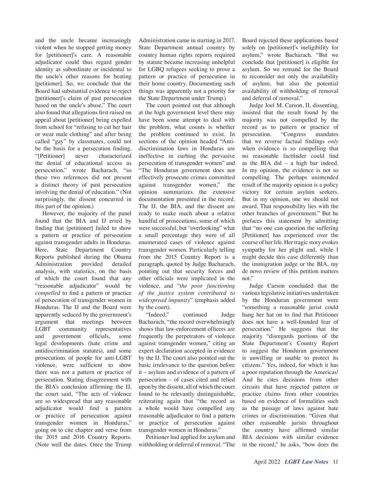and the uncle became increasingly violent when he stopped getting money for [petitioner]'s care. A reasonable adjudicator could thus regard gender identity as subordinate or incidental to the uncle's other reasons for beating [petitioner]. So, we conclude that the Board had substantial evidence to reject [petitioner]'s claim of past persecution based on the uncle's abuse." The court also found that allegations first raised on appeal about [petitioner] being expelled from school for "refusing to cut her hair or wear male clothing" and after being called "gay" by classmates, could not be the basis for a persecution finding. "[Petitioner] never characterized the denial of educational access as persecution," wrote Bacharach, "so these two references did not present a distinct theory of past persecution involving the denial of education." (Not surprisingly, the dissent concurred in this part of the opinion.)

However, the majority of the panel found that the BIA and IJ erred by finding that [petitioner] failed to show a pattern or practice of persecution against transgender adults in Honduras. Here, State Department Country Reports published during the Obama Administration provided detailed analysis, with statistics, on the basis of which the court found that any "reasonable adjudicator" would be *compelled* to find a pattern or practice of persecution of transgender women in Honduras. The IJ and the Board were apparently seduced by the government's argument that meetings between LGBT community representatives and government officials, some legal developments (hate crime and antidiscrimination statutes), and some prosecutions of people for anti-LGBT violence, were sufficient to show there was not a pattern or practice of persecution. Stating disagreement with the BIA's conclusion affirming the IJ, the court said, "The acts of violence are so widespread that any reasonable adjudicator would find a pattern or practice of persecution against transgender women in Honduras," going on to cite chapter and verse from the 2015 and 2016 Country Reports. (Note well the dates. Once the Trump

Administration came in starting in 2017, State Department annual country by country human rights reports required by statute became increasing unhelpful for LGBQ refugees seeking to prove a pattern or practice of persecution in their home country. Documenting such things was apparently not a priority for the State Department under Trump.)

The court pointed out that although at the high government level there may have been some attempt to deal with the problem, what counts is whether the problem continued to exist. In sections of the opinion headed "Antidiscrimination laws in Honduras are ineffective in curbing the pervasive persecution of transgender women" and "The Honduran government does not effectively prosecute crimes committed against transgender women," the opinion summarizes the extensive documentation presented in the record. The IJ, the BIA, and the dissent are ready to make much about a relative handful of prosecutions, some of which were successful, but "overlooking" what a small percentage they were of all enumerated cases of violence against transgender women. Particularly telling from the 2015 Country Report is a paragraph, quoted by Judge Bacharach, pointing out that security forces and other officials were implicated in the violence, and "*the poor functioning of the justice system contributed to widespread impunity*" (emphasis added by the court).

"Indeed," continued Judge Bacharach, "the record overwhelmingly shows that law-enforcement officers are frequently the perpetrators of violence against transgender women," citing an expert declaration accepted in evidence by the IJ. The court also pointed out the basic irrelevance to the question before it – asylum and evidence of a pattern of persecution – of cases cited and relied upon by the dissent, all of which the court found to be relevantly distinguishable, reiterating again that "the record as a whole would have compelled any reasonable adjudicator to find a pattern or practice of persecution against transgender women in Honduras."

Petitioner had applied for asylum and withholding or deferral of removal. "The

Board rejected these applications based solely on [petitioner]'s ineligibility for asylum," wrote Bacharach. "But we conclude that [petitioner] is eligible for asylum. So we remand for the Board to reconsider not only the availability of asylum, but also the potential availability of withholding of removal and deferral of removal."

Judge Joel M. Carson, II, dissenting, insisted that the result found by the majority was not compelled by the record as to pattern or practice of persecution. "Congress mandates that we reverse factual findings *only* when evidence is so compelling that no reasonable factfinder could find as the BIA did – a high bar indeed. In my opinion, the evidence is not so compelling. The perhaps unintended result of the majority opinion is a policy victory for certain asylum seekers. But in my opinion, one we should not award. That responsibility lies with the other branches of government." But he prefaces this statement by admitting that "no one can question the suffering [Petitioner] has experienced over the course of her life. Her tragic story evokes sympathy for her plight and, while I might decide this case differently than the immigration judge or the BIA, my de novo review of this petition matters not."

Judge Carson concluded that the various legislative initiatives undertaken by the Honduran government were "something a reasonable jurist could hang her hat on to find that Petitioner does not have a well-founded fear of persecution." He suggests that the majority "disregards portions of the State Department's Country Report to suggest the Honduran government is unwilling or unable to protect its citizens." Yes, indeed, for which it has a poor reputation through the Americas! And he cites decisions from other circuits that have rejected pattern or practice claims from other countries based on evidence of formalities such as the passage of laws against hate crimes or discrimination. "Given that other reasonable jurists throughout the country have affirmed similar BIA decisions with similar evidence in the record," he asks, "how does the